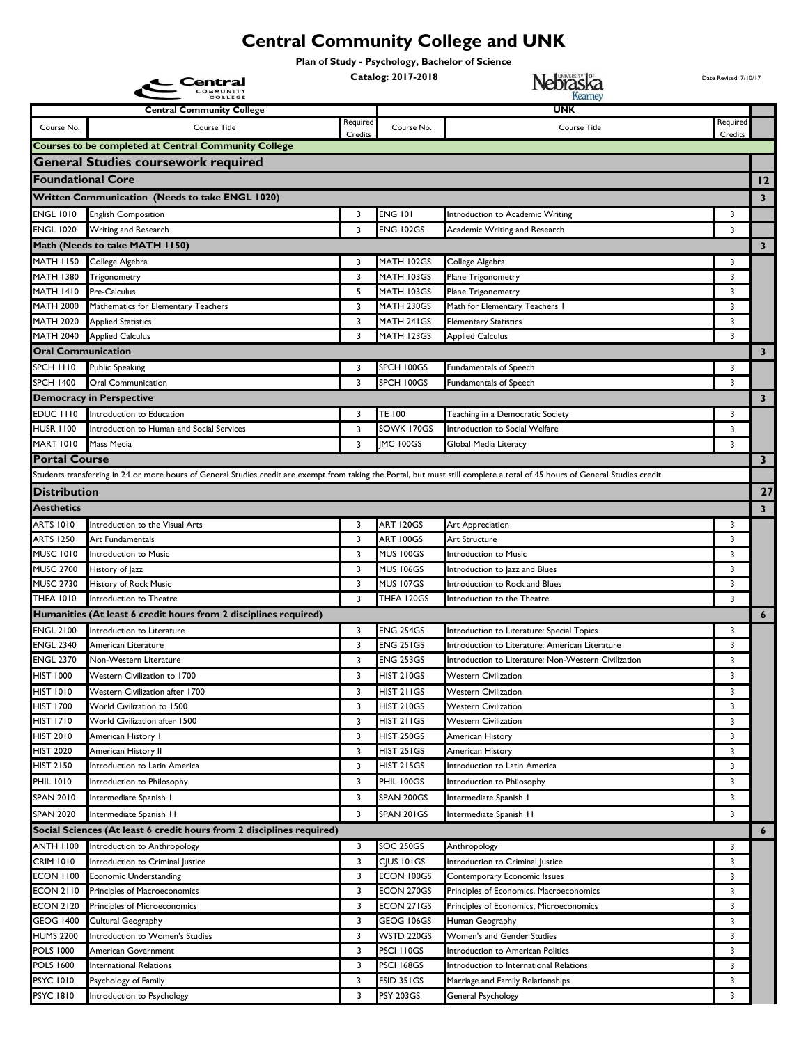## **Central Community College and UNK**

**Plan of Study - Psychology, Bachelor of Science**

|                                      | Central                                                                                                                                                                       |          | Catalog: 2017-2018       | Nebraska                                             | Date Revised: 7/10/17 |                         |
|--------------------------------------|-------------------------------------------------------------------------------------------------------------------------------------------------------------------------------|----------|--------------------------|------------------------------------------------------|-----------------------|-------------------------|
|                                      | <b>Central Community College</b>                                                                                                                                              |          |                          | UNK                                                  |                       |                         |
| Course No.                           | Course Title                                                                                                                                                                  | Required | Course No.               | <b>Course Title</b>                                  | Required              |                         |
|                                      | <b>Courses to be completed at Central Community College</b>                                                                                                                   | Credits  |                          |                                                      | Credits               |                         |
|                                      | <b>General Studies coursework required</b>                                                                                                                                    |          |                          |                                                      |                       |                         |
| <b>Foundational Core</b>             |                                                                                                                                                                               |          |                          |                                                      |                       |                         |
|                                      |                                                                                                                                                                               |          |                          |                                                      |                       | $ 12\rangle$            |
|                                      | <b>Written Communication (Needs to take ENGL 1020)</b>                                                                                                                        |          |                          |                                                      |                       | $\overline{\mathbf{3}}$ |
| <b>ENGL 1010</b>                     | <b>English Composition</b>                                                                                                                                                    | 3        | <b>ENG 101</b>           | Introduction to Academic Writing                     | 3                     |                         |
| <b>ENGL 1020</b>                     | Writing and Research                                                                                                                                                          | 3        | <b>ENG 102GS</b>         | Academic Writing and Research                        | 3                     |                         |
|                                      | Math (Needs to take MATH 1150)                                                                                                                                                |          |                          |                                                      |                       | $\overline{\mathbf{3}}$ |
| <b>MATH 1150</b><br><b>MATH 1380</b> | College Algebra                                                                                                                                                               | 3<br>3   | MATH 102GS<br>MATH 103GS | College Algebra                                      | 3<br>3                |                         |
| <b>MATH 1410</b>                     | Trigonometry<br>Pre-Calculus                                                                                                                                                  | 5        | MATH 103GS               | Plane Trigonometry<br>Plane Trigonometry             | 3                     |                         |
| <b>MATH 2000</b>                     | Mathematics for Elementary Teachers                                                                                                                                           | 3        | MATH 230GS               | Math for Elementary Teachers I                       | 3                     |                         |
| <b>MATH 2020</b>                     | <b>Applied Statistics</b>                                                                                                                                                     | 3        | MATH 241GS               | <b>Elementary Statistics</b>                         | 3                     |                         |
| <b>MATH 2040</b>                     | <b>Applied Calculus</b>                                                                                                                                                       | 3        | MATH 123GS               | <b>Applied Calculus</b>                              | 3                     |                         |
| <b>Oral Communication</b>            |                                                                                                                                                                               |          |                          |                                                      |                       | $\mathbf{3}$            |
| <b>SPCH 1110</b>                     | Public Speaking                                                                                                                                                               | 3        | SPCH 100GS               | Fundamentals of Speech                               | 3                     |                         |
| <b>SPCH 1400</b>                     | Oral Communication                                                                                                                                                            | 3        | SPCH 100GS               | Fundamentals of Speech                               | 3                     |                         |
|                                      | <b>Democracy in Perspective</b>                                                                                                                                               |          |                          |                                                      |                       | $\mathbf{3}$            |
| EDUC III0                            | Introduction to Education                                                                                                                                                     | 3        | TE 100                   | Teaching in a Democratic Society                     | 3                     |                         |
| <b>HUSR 1100</b>                     | Introduction to Human and Social Services                                                                                                                                     | 3        | SOWK 170GS               | Introduction to Social Welfare                       | 3                     |                         |
| <b>MART 1010</b>                     | Mass Media                                                                                                                                                                    | 3        | IMC 100GS                | Global Media Literacy                                | 3                     |                         |
| Portal Course                        |                                                                                                                                                                               |          |                          |                                                      |                       | $\mathbf{3}$            |
|                                      | Students transferring in 24 or more hours of General Studies credit are exempt from taking the Portal, but must still complete a total of 45 hours of General Studies credit. |          |                          |                                                      |                       |                         |
| <b>Distribution</b>                  |                                                                                                                                                                               |          |                          |                                                      |                       | 27                      |
| <b>Aesthetics</b>                    |                                                                                                                                                                               |          |                          |                                                      |                       | 3                       |
| <b>ARTS 1010</b>                     | Introduction to the Visual Arts                                                                                                                                               | 3        | ART 120GS                | <b>Art Appreciation</b>                              | 3                     |                         |
| <b>ARTS 1250</b>                     | Art Fundamentals                                                                                                                                                              | 3        | ART 100GS                | Art Structure                                        | 3                     |                         |
| <b>MUSC 1010</b>                     | Introduction to Music                                                                                                                                                         | 3        | MUS 100GS                | Introduction to Music                                | 3                     |                         |
| <b>MUSC 2700</b>                     | -listory of Jazz                                                                                                                                                              | 3        | <b>MUS 106GS</b>         | Introduction to Jazz and Blues                       | 3                     |                         |
| <b>MUSC 2730</b>                     | History of Rock Music                                                                                                                                                         | 3        | MUS 107GS                | Introduction to Rock and Blues                       | 3                     |                         |
| <b>THEA 1010</b>                     | Introduction to Theatre                                                                                                                                                       | 3        | THEA 120GS               | Introduction to the Theatre                          | 3                     |                         |
|                                      | Humanities (At least 6 credit hours from 2 disciplines required)                                                                                                              |          |                          |                                                      |                       | $\boldsymbol{6}$        |
| <b>ENGL 2100</b>                     | Introduction to Literature                                                                                                                                                    | 3        | <b>ENG 254GS</b>         | Introduction to Literature: Special Topics           | 3                     |                         |
| <b>ENGL 2340</b>                     | American Literature                                                                                                                                                           | 3        | ENG 251GS                | Introduction to Literature: American Literature      | 3                     |                         |
| <b>ENGL 2370</b>                     | Non-Western Literature                                                                                                                                                        | 3        | <b>ENG 253GS</b>         | Introduction to Literature: Non-Western Civilization | 3                     |                         |
| <b>HIST 1000</b>                     | Western Civilization to 1700                                                                                                                                                  | 3        | <b>HIST 210GS</b>        | <b>Western Civilization</b>                          | 3                     |                         |
| <b>HIST 1010</b>                     | Western Civilization after 1700                                                                                                                                               | 3        | HIST 211GS               | <b>Western Civilization</b>                          | 3                     |                         |
| <b>HIST 1700</b>                     | World Civilization to 1500                                                                                                                                                    | 3        | HIST 210GS               | <b>Western Civilization</b>                          | 3                     |                         |
| <b>HIST 1710</b><br><b>HIST 2010</b> | World Civilization after 1500<br>American History I                                                                                                                           | 3<br>3   | HIST 211GS<br>HIST 250GS | <b>Western Civilization</b><br>American History      | 3<br>3                |                         |
| <b>HIST 2020</b>                     | American History II                                                                                                                                                           | 3        | HIST 251GS               | American History                                     | 3                     |                         |
| <b>HIST 2150</b>                     | Introduction to Latin America                                                                                                                                                 | 3        | <b>HIST 215GS</b>        | Introduction to Latin America                        | 3                     |                         |
| <b>PHIL 1010</b>                     | Introduction to Philosophy                                                                                                                                                    | 3        | PHIL 100GS               | Introduction to Philosophy                           | 3                     |                         |
| <b>SPAN 2010</b>                     | Intermediate Spanish I                                                                                                                                                        | 3        | SPAN 200GS               | Intermediate Spanish I                               | 3                     |                         |
| <b>SPAN 2020</b>                     | Intermediate Spanish II                                                                                                                                                       | 3        | SPAN 201GS               | Intermediate Spanish II                              | 3                     |                         |
|                                      | Social Sciences (At least 6 credit hours from 2 disciplines required)                                                                                                         |          |                          |                                                      |                       | $\boldsymbol{6}$        |
| <b>ANTH 1100</b>                     | Introduction to Anthropology                                                                                                                                                  | 3        | <b>SOC 250GS</b>         | Anthropology                                         | 3                     |                         |
| <b>CRIM 1010</b>                     | Introduction to Criminal Justice                                                                                                                                              | 3        | <b>CJUS 101GS</b>        | Introduction to Criminal Justice                     | 3                     |                         |
| <b>ECON 1100</b>                     | <b>Economic Understanding</b>                                                                                                                                                 | 3        | ECON 100GS               | Contemporary Economic Issues                         | 3                     |                         |
| <b>ECON 2110</b>                     | Principles of Macroeconomics                                                                                                                                                  | 3        | ECON 270GS               | Principles of Economics, Macroeconomics              | 3                     |                         |
| <b>ECON 2120</b>                     | Principles of Microeconomics                                                                                                                                                  | 3        | ECON 271GS               | Principles of Economics, Microeconomics              | 3                     |                         |
| <b>GEOG 1400</b>                     | Cultural Geography                                                                                                                                                            | 3        | GEOG 106GS               | Human Geography                                      | 3                     |                         |
| <b>HUMS 2200</b>                     | ntroduction to Women's Studies                                                                                                                                                | 3        | WSTD 220GS               | Women's and Gender Studies                           | 3                     |                         |
| <b>POLS 1000</b>                     | American Government                                                                                                                                                           | 3        | PSCI I I 0GS             | Introduction to American Politics                    | 3                     |                         |
| <b>POLS 1600</b>                     | nternational Relations                                                                                                                                                        | 3        | PSCI 168GS               | Introduction to International Relations              | 3                     |                         |
| <b>PSYC 1010</b>                     | Psychology of Family                                                                                                                                                          | 3        | FSID 351GS               | Marriage and Family Relationships                    | 3                     |                         |
| <b>PSYC 1810</b>                     | Introduction to Psychology                                                                                                                                                    | 3        | <b>PSY 203GS</b>         | General Psychology                                   | 3                     |                         |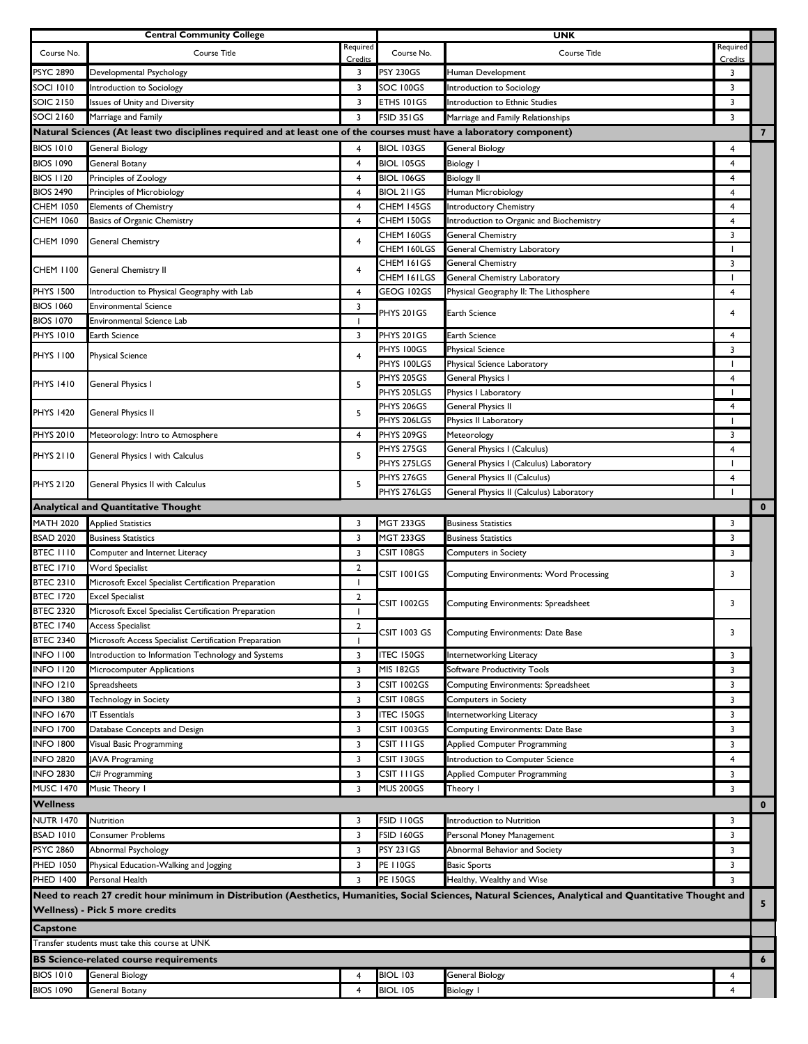|                                                | <b>Central Community College</b>                                                                                      |                |                     | <b>UNK</b>                                                                                                                                               |                          |                         |  |
|------------------------------------------------|-----------------------------------------------------------------------------------------------------------------------|----------------|---------------------|----------------------------------------------------------------------------------------------------------------------------------------------------------|--------------------------|-------------------------|--|
| Course No.                                     | Course Title                                                                                                          | Required       | Course No.          | <b>Course Title</b>                                                                                                                                      | Required                 |                         |  |
|                                                |                                                                                                                       | Credits        |                     |                                                                                                                                                          | Credits                  |                         |  |
| PSYC 2890                                      | Developmental Psychology                                                                                              | 3              | <b>PSY 230GS</b>    | Human Development                                                                                                                                        | 3                        |                         |  |
| SOCI 1010                                      | Introduction to Sociology                                                                                             | 3              | SOC 100GS           | Introduction to Sociology                                                                                                                                | 3                        |                         |  |
| <b>SOIC 2150</b>                               | Issues of Unity and Diversity                                                                                         | 3              | ETHS 101GS          | Introduction to Ethnic Studies                                                                                                                           | 3                        |                         |  |
| SOCI 2160                                      | Marriage and Family                                                                                                   | 3              | FSID 351GS          | Marriage and Family Relationships                                                                                                                        | 3                        |                         |  |
|                                                | Natural Sciences (At least two disciplines required and at least one of the courses must have a laboratory component) |                |                     |                                                                                                                                                          |                          | $\overline{\mathbf{z}}$ |  |
| <b>BIOS 1010</b>                               | General Biology                                                                                                       | 4              | <b>BIOL 103GS</b>   | <b>General Biology</b>                                                                                                                                   | 4                        |                         |  |
| <b>BIOS 1090</b>                               | General Botany                                                                                                        | $\overline{4}$ | <b>BIOL 105GS</b>   | <b>Biology I</b>                                                                                                                                         | 4                        |                         |  |
| <b>BIOS 1120</b>                               | Principles of Zoology                                                                                                 | 4              | BIOL 106GS          | <b>Biology II</b>                                                                                                                                        | 4                        |                         |  |
| <b>BIOS 2490</b>                               | Principles of Microbiology                                                                                            | 4              | <b>BIOL 211GS</b>   | Human Microbiology                                                                                                                                       | 4                        |                         |  |
| CHEM 1050                                      | <b>Elements of Chemistry</b>                                                                                          | 4              | CHEM 145GS          | Introductory Chemistry                                                                                                                                   | 4                        |                         |  |
| <b>CHEM 1060</b>                               | Basics of Organic Chemistry                                                                                           | 4              | CHEM 150GS          | Introduction to Organic and Biochemistry                                                                                                                 | 4                        |                         |  |
| CHEM 1090                                      | <b>General Chemistry</b>                                                                                              | 4              | CHEM 160GS          | General Chemistry                                                                                                                                        | 3                        |                         |  |
|                                                |                                                                                                                       |                | CHEM 160LGS         | General Chemistry Laboratory                                                                                                                             | $\overline{1}$           |                         |  |
| CHEM 1100                                      | General Chemistry II                                                                                                  | 4              | CHEM 161GS          | General Chemistry                                                                                                                                        | 3                        |                         |  |
|                                                |                                                                                                                       |                | CHEM 161LGS         | General Chemistry Laboratory                                                                                                                             |                          |                         |  |
| <b>PHYS 1500</b>                               | Introduction to Physical Geography with Lab                                                                           | 4              | GEOG 102GS          | Physical Geography II: The Lithosphere                                                                                                                   | 4                        |                         |  |
| <b>BIOS 1060</b>                               | <b>Environmental Science</b>                                                                                          | 3              | PHYS 201GS          | Earth Science                                                                                                                                            | 4                        |                         |  |
| <b>BIOS 1070</b>                               | <b>Environmental Science Lab</b>                                                                                      | ı              |                     |                                                                                                                                                          |                          |                         |  |
| <b>PHYS 1010</b>                               | Earth Science                                                                                                         | 3              | PHYS 201GS          | Earth Science                                                                                                                                            | 4                        |                         |  |
| PHYS 1100                                      | <b>Physical Science</b>                                                                                               | 4              | PHYS 100GS          | <b>Physical Science</b>                                                                                                                                  | 3                        |                         |  |
|                                                |                                                                                                                       |                | PHYS 100LGS         | Physical Science Laboratory                                                                                                                              | J.                       |                         |  |
| PHYS 1410                                      | <b>General Physics I</b>                                                                                              | 5              | PHYS 205GS          | General Physics I                                                                                                                                        | 4                        |                         |  |
|                                                |                                                                                                                       |                | PHYS 205LGS         | Physics I Laboratory                                                                                                                                     | ı                        |                         |  |
| <b>PHYS 1420</b>                               | General Physics II                                                                                                    | 5              | PHYS 206GS          | General Physics II                                                                                                                                       | $\overline{4}$           |                         |  |
|                                                |                                                                                                                       |                | PHYS 206LGS         | Physics II Laboratory                                                                                                                                    | $\mathbf{I}$             |                         |  |
| <b>PHYS 2010</b>                               | Meteorology: Intro to Atmosphere                                                                                      | $\overline{4}$ | PHYS 209GS          | Meteorology                                                                                                                                              | 3                        |                         |  |
| PHYS 2110                                      | General Physics I with Calculus                                                                                       | 5              | PHYS 275GS          | General Physics I (Calculus)                                                                                                                             | 4                        |                         |  |
|                                                |                                                                                                                       |                | PHYS 275LGS         | General Physics I (Calculus) Laboratory                                                                                                                  | $\mathbf{I}$             |                         |  |
| PHYS 2120                                      | General Physics II with Calculus                                                                                      | 5              | PHYS 276GS          | General Physics II (Calculus)                                                                                                                            | 4                        |                         |  |
|                                                |                                                                                                                       |                | PHYS 276LGS         | General Physics II (Calculus) Laboratory                                                                                                                 | $\overline{\phantom{a}}$ |                         |  |
|                                                | <b>Analytical and Quantitative Thought</b>                                                                            |                |                     |                                                                                                                                                          |                          | $\mathbf{0}$            |  |
| <b>MATH 2020</b>                               | <b>Applied Statistics</b>                                                                                             | 3              | <b>MGT 233GS</b>    | <b>Business Statistics</b>                                                                                                                               | 3                        |                         |  |
| <b>BSAD 2020</b>                               | <b>Business Statistics</b>                                                                                            | 3              | <b>MGT 233GS</b>    | <b>Business Statistics</b>                                                                                                                               | 3                        |                         |  |
| <b>BTEC 1110</b>                               | Computer and Internet Literacy                                                                                        | 3              | CSIT 108GS          | <b>Computers in Society</b>                                                                                                                              | 3                        |                         |  |
| <b>BTEC 1710</b>                               | <b>Word Specialist</b>                                                                                                | $\overline{2}$ |                     |                                                                                                                                                          |                          |                         |  |
| <b>BTEC 2310</b>                               | Microsoft Excel Specialist Certification Preparation                                                                  | $\mathbf{I}$   | CSIT 1001GS         | <b>Computing Environments: Word Processing</b>                                                                                                           | 3                        |                         |  |
| <b>BTEC 1720</b>                               | <b>Excel Specialist</b>                                                                                               | $\overline{2}$ |                     |                                                                                                                                                          |                          |                         |  |
| <b>BTEC 2320</b>                               | Microsoft Excel Specialist Certification Preparation                                                                  | $\mathbf{I}$   | CSIT 1002GS         | Computing Environments: Spreadsheet                                                                                                                      | 3                        |                         |  |
| <b>BTEC 1740</b>                               | <b>Access Specialist</b>                                                                                              | 2              |                     |                                                                                                                                                          |                          |                         |  |
| <b>BTEC 2340</b>                               | Microsoft Access Specialist Certification Preparation                                                                 |                | <b>CSIT 1003 GS</b> | Computing Environments: Date Base                                                                                                                        | 3                        |                         |  |
| <b>INFO 1100</b>                               | Introduction to Information Technology and Systems                                                                    | 3              | <b>ITEC 150GS</b>   | Internetworking Literacy                                                                                                                                 | 3                        |                         |  |
| <b>INFO 1120</b>                               | Microcomputer Applications                                                                                            | 3              | <b>MIS 182GS</b>    | Software Productivity Tools                                                                                                                              | 3                        |                         |  |
| <b>INFO 1210</b>                               | Spreadsheets                                                                                                          | 3              | <b>CSIT 1002GS</b>  | Computing Environments: Spreadsheet                                                                                                                      | 3                        |                         |  |
| <b>INFO 1380</b>                               | Technology in Society                                                                                                 | 3              | CSIT 108GS          | <b>Computers in Society</b>                                                                                                                              | 3                        |                         |  |
| <b>INFO 1670</b>                               | <b>IT Essentials</b>                                                                                                  | 3              | <b>ITEC 150GS</b>   |                                                                                                                                                          | 3                        |                         |  |
|                                                |                                                                                                                       |                |                     | Internetworking Literacy                                                                                                                                 |                          |                         |  |
| <b>INFO 1700</b>                               | Database Concepts and Design                                                                                          | 3              | CSIT 1003GS         | Computing Environments: Date Base                                                                                                                        | 3                        |                         |  |
| <b>INFO 1800</b>                               | Visual Basic Programming                                                                                              | 3              | CSIT I I I GS       | <b>Applied Computer Programming</b>                                                                                                                      | 3                        |                         |  |
| <b>INFO 2820</b>                               | <b>JAVA Programing</b>                                                                                                | 3              | CSIT 130GS          | Introduction to Computer Science                                                                                                                         | 4                        |                         |  |
| <b>INFO 2830</b>                               | C# Programming                                                                                                        | 3              | CSIT I I I GS       | Applied Computer Programming                                                                                                                             | 3                        |                         |  |
| <b>MUSC 1470</b>                               | Music Theory I                                                                                                        | 3              | <b>MUS 200GS</b>    | Theory I                                                                                                                                                 | 3                        |                         |  |
| <b>Wellness</b>                                |                                                                                                                       |                |                     |                                                                                                                                                          |                          | $\mathbf 0$             |  |
| NUTR 1470                                      | Nutrition                                                                                                             | 3              | FSID 110GS          | Introduction to Nutrition                                                                                                                                | 3                        |                         |  |
| <b>BSAD 1010</b>                               | <b>Consumer Problems</b>                                                                                              | 3              | <b>FSID 160GS</b>   | Personal Money Management                                                                                                                                | 3                        |                         |  |
| <b>PSYC 2860</b>                               | Abnormal Psychology                                                                                                   | 3              | <b>PSY 231GS</b>    | Abnormal Behavior and Society                                                                                                                            | 3                        |                         |  |
| PHED 1050                                      | Physical Education-Walking and Jogging                                                                                | 3              | <b>PE 110GS</b>     | <b>Basic Sports</b>                                                                                                                                      | 3                        |                         |  |
| PHED 1400                                      | Personal Health                                                                                                       | 3              | <b>PE 150GS</b>     | Healthy, Wealthy and Wise                                                                                                                                | 3                        |                         |  |
|                                                |                                                                                                                       |                |                     | Need to reach 27 credit hour minimum in Distribution (Aesthetics, Humanities, Social Sciences, Natural Sciences, Analytical and Quantitative Thought and |                          |                         |  |
|                                                | Wellness) - Pick 5 more credits                                                                                       |                |                     |                                                                                                                                                          |                          | 5                       |  |
|                                                |                                                                                                                       |                |                     |                                                                                                                                                          |                          |                         |  |
|                                                | <b>Capstone</b>                                                                                                       |                |                     |                                                                                                                                                          |                          |                         |  |
| Transfer students must take this course at UNK |                                                                                                                       |                |                     |                                                                                                                                                          |                          |                         |  |
|                                                | <b>BS Science-related course requirements</b>                                                                         |                |                     |                                                                                                                                                          |                          | $\epsilon$              |  |
| <b>BIOS 1010</b>                               | General Biology                                                                                                       | 4              | <b>BIOL 103</b>     | General Biology                                                                                                                                          | 4                        |                         |  |
| <b>BIOS 1090</b>                               | <b>General Botany</b>                                                                                                 | 4              | <b>BIOL 105</b>     | <b>Biology I</b>                                                                                                                                         | 4                        |                         |  |